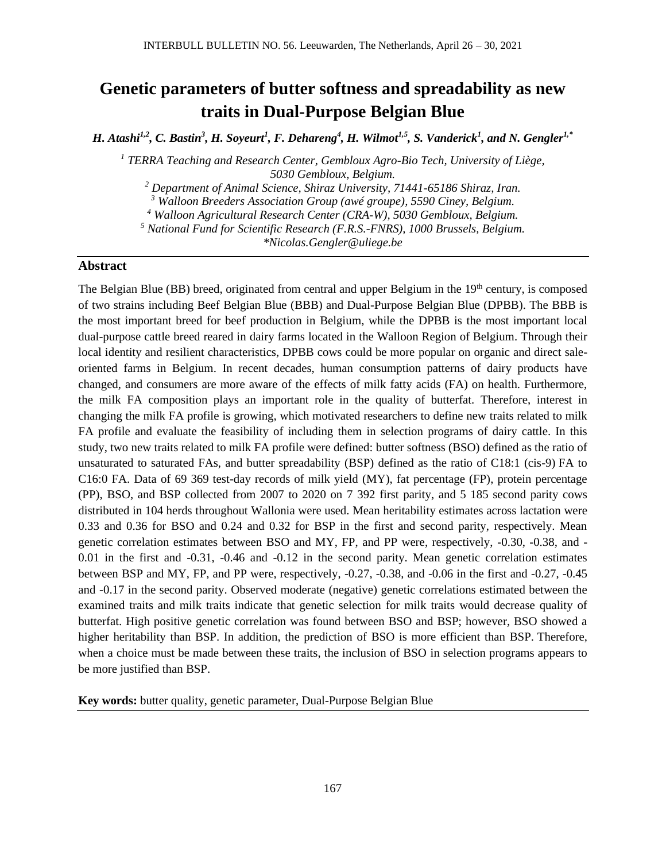# **Genetic parameters of butter softness and spreadability as new traits in Dual-Purpose Belgian Blue**

*H. Atashi1,2, C. Bastin<sup>3</sup> , H. Soyeurt<sup>1</sup> , F. Dehareng<sup>4</sup> , H. Wilmot1,5 , S. Vanderick<sup>1</sup> , and N. Gengler1,\**

*<sup>1</sup> TERRA Teaching and Research Center, Gembloux Agro-Bio Tech, University of Liège, 5030 Gembloux, Belgium.*

*<sup>2</sup> Department of Animal Science, Shiraz University, 71441-65186 Shiraz, Iran.*

*<sup>3</sup> Walloon Breeders Association Group (awé groupe), 5590 Ciney, Belgium.*

*<sup>4</sup> Walloon Agricultural Research Center (CRA-W), 5030 Gembloux, Belgium.*

*<sup>5</sup> National Fund for Scientific Research (F.R.S.-FNRS), 1000 Brussels, Belgium.*

*\*Nicolas.Gengler@uliege.be*

#### **Abstract**

The Belgian Blue (BB) breed, originated from central and upper Belgium in the 19<sup>th</sup> century, is composed of two strains including Beef Belgian Blue (BBB) and Dual-Purpose Belgian Blue (DPBB). The BBB is the most important breed for beef production in Belgium, while the DPBB is the most important local dual-purpose cattle breed reared in dairy farms located in the Walloon Region of Belgium. Through their local identity and resilient characteristics, DPBB cows could be more popular on organic and direct saleoriented farms in Belgium. In recent decades, human consumption patterns of dairy products have changed, and consumers are more aware of the effects of milk fatty acids (FA) on health. Furthermore, the milk FA composition plays an important role in the quality of butterfat. Therefore, interest in changing the milk FA profile is growing, which motivated researchers to define new traits related to milk FA profile and evaluate the feasibility of including them in selection programs of dairy cattle. In this study, two new traits related to milk FA profile were defined: butter softness (BSO) defined as the ratio of unsaturated to saturated FAs, and butter spreadability (BSP) defined as the ratio of C18:1 (cis-9) FA to C16:0 FA. Data of 69 369 test-day records of milk yield (MY), fat percentage (FP), protein percentage (PP), BSO, and BSP collected from 2007 to 2020 on 7 392 first parity, and 5 185 second parity cows distributed in 104 herds throughout Wallonia were used. Mean heritability estimates across lactation were 0.33 and 0.36 for BSO and 0.24 and 0.32 for BSP in the first and second parity, respectively. Mean genetic correlation estimates between BSO and MY, FP, and PP were, respectively, -0.30, -0.38, and - 0.01 in the first and -0.31, -0.46 and -0.12 in the second parity. Mean genetic correlation estimates between BSP and MY, FP, and PP were, respectively, -0.27, -0.38, and -0.06 in the first and -0.27, -0.45 and -0.17 in the second parity. Observed moderate (negative) genetic correlations estimated between the examined traits and milk traits indicate that genetic selection for milk traits would decrease quality of butterfat. High positive genetic correlation was found between BSO and BSP; however, BSO showed a higher heritability than BSP. In addition, the prediction of BSO is more efficient than BSP. Therefore, when a choice must be made between these traits, the inclusion of BSO in selection programs appears to be more justified than BSP.

**Key words:** butter quality, genetic parameter, Dual-Purpose Belgian Blue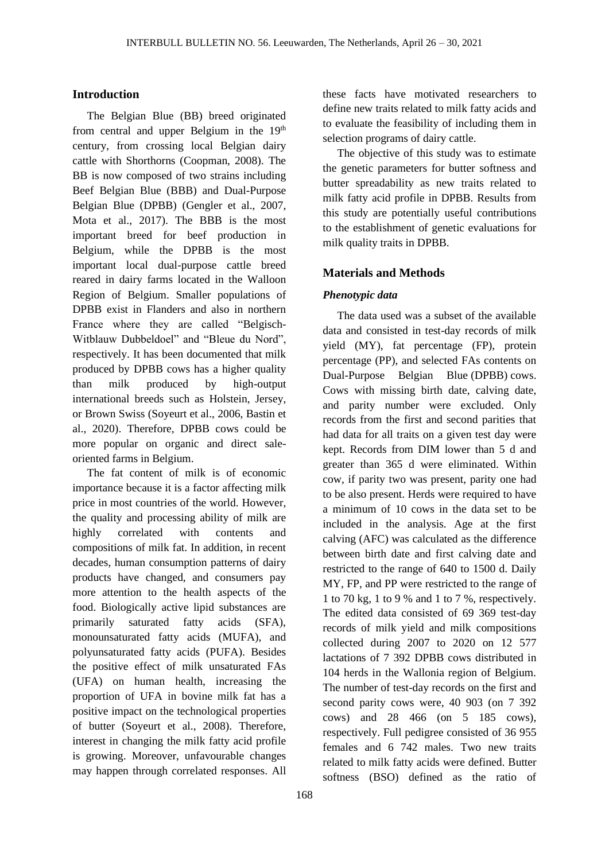## **Introduction**

The Belgian Blue (BB) breed originated from central and upper Belgium in the  $19<sup>th</sup>$ century, from crossing local Belgian dairy cattle with Shorthorns (Coopman, 2008). The BB is now composed of two strains including Beef Belgian Blue (BBB) and Dual-Purpose Belgian Blue (DPBB) (Gengler et al., 2007, Mota et al., 2017). The BBB is the most important breed for beef production in Belgium, while the DPBB is the most important local dual-purpose cattle breed reared in dairy farms located in the Walloon Region of Belgium. Smaller populations of DPBB exist in Flanders and also in northern France where they are called "Belgisch-Witblauw Dubbeldoel" and "Bleue du Nord", respectively. It has been documented that milk produced by DPBB cows has a higher quality than milk produced by high-output international breeds such as Holstein, Jersey, or Brown Swiss (Soyeurt et al., 2006, Bastin et al., 2020). Therefore, DPBB cows could be more popular on organic and direct saleoriented farms in Belgium.

The fat content of milk is of economic importance because it is a factor affecting milk price in most countries of the world. However, the quality and processing ability of milk are highly correlated with contents and compositions of milk fat. In addition, in recent decades, human consumption patterns of dairy products have changed, and consumers pay more attention to the health aspects of the food. Biologically active lipid substances are primarily saturated fatty acids (SFA), monounsaturated fatty acids (MUFA), and polyunsaturated fatty acids (PUFA). Besides the positive effect of milk unsaturated FAs (UFA) on human health, increasing the proportion of UFA in bovine milk fat has a positive impact on the technological properties of butter (Soyeurt et al., 2008). Therefore, interest in changing the milk fatty acid profile is growing. Moreover, unfavourable changes may happen through correlated responses. All

these facts have motivated researchers to define new traits related to milk fatty acids and to evaluate the feasibility of including them in selection programs of dairy cattle.

The objective of this study was to estimate the genetic parameters for butter softness and butter spreadability as new traits related to milk fatty acid profile in DPBB. Results from this study are potentially useful contributions to the establishment of genetic evaluations for milk quality traits in DPBB.

## **Materials and Methods**

### *Phenotypic data*

The data used was a subset of the available data and consisted in test-day records of milk yield (MY), fat percentage (FP), protein percentage (PP), and selected FAs contents on Dual-Purpose Belgian Blue (DPBB) cows. Cows with missing birth date, calving date, and parity number were excluded. Only records from the first and second parities that had data for all traits on a given test day were kept. Records from DIM lower than 5 d and greater than 365 d were eliminated. Within cow, if parity two was present, parity one had to be also present. Herds were required to have a minimum of 10 cows in the data set to be included in the analysis. Age at the first calving (AFC) was calculated as the difference between birth date and first calving date and restricted to the range of 640 to 1500 d. Daily MY, FP, and PP were restricted to the range of 1 to 70 kg, 1 to 9 % and 1 to 7 %, respectively. The edited data consisted of 69 369 test-day records of milk yield and milk compositions collected during 2007 to 2020 on 12 577 lactations of 7 392 DPBB cows distributed in 104 herds in the Wallonia region of Belgium. The number of test-day records on the first and second parity cows were, 40 903 (on 7 392 cows) and 28 466 (on 5 185 cows), respectively. Full pedigree consisted of 36 955 females and 6 742 males. Two new traits related to milk fatty acids were defined. Butter softness (BSO) defined as the ratio of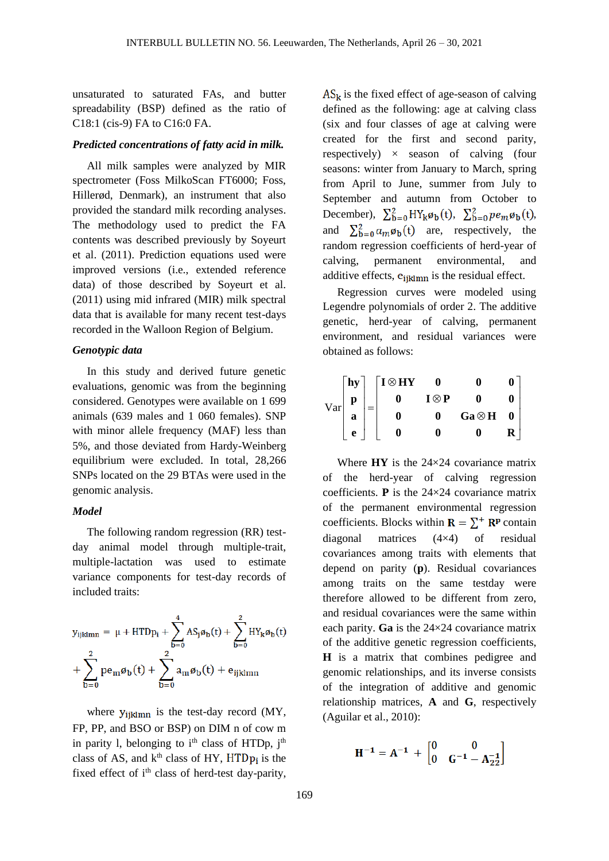unsaturated to saturated FAs, and butter spreadability (BSP) defined as the ratio of C18:1 (cis-9) FA to C16:0 FA.

#### *Predicted concentrations of fatty acid in milk.*

All milk samples were analyzed by MIR spectrometer (Foss MilkoScan FT6000; Foss, Hillerød, Denmark), an instrument that also provided the standard milk recording analyses. The methodology used to predict the FA contents was described previously by Soyeurt et al. (2011). Prediction equations used were improved versions (i.e., extended reference data) of those described by Soyeurt et al. (2011) using mid infrared (MIR) milk spectral data that is available for many recent test-days recorded in the Walloon Region of Belgium.

#### *Genotypic data*

In this study and derived future genetic evaluations, genomic was from the beginning considered. Genotypes were available on 1 699 animals (639 males and 1 060 females). SNP with minor allele frequency (MAF) less than 5%, and those deviated from Hardy-Weinberg equilibrium were excluded. In total, 28,266 SNPs located on the 29 BTAs were used in the genomic analysis.

#### *Model*

The following random regression (RR) testday animal model through multiple-trait, multiple-lactation was used to estimate variance components for test-day records of included traits:

$$
\begin{aligned} y_{ijklmn} &= \ \mu + \text{HTDp}_i + \sum_{b=0}^4 AS_j \mathbf{\varrho}_b(t) + \sum_{b=0}^2 \text{HY}_k \mathbf{\varrho}_b(t) \\ &+ \sum_{b=0}^2 \text{pe}_m \mathbf{\varrho}_b(t) + \sum_{b=0}^2 a_m \mathbf{\varrho}_b(t) + e_{ijklmn} \end{aligned}
$$

where  $y_{iiklmn}$  is the test-day record (MY, FP, PP, and BSO or BSP) on DIM n of cow m in parity 1, belonging to  $i<sup>th</sup>$  class of HTDp,  $j<sup>th</sup>$ class of AS, and  $k^{th}$  class of HY,  $HTDp_i$  is the fixed effect of i<sup>th</sup> class of herd-test day-parity,

 $AS_k$  is the fixed effect of age-season of calving defined as the following: age at calving class (six and four classes of age at calving were created for the first and second parity, respectively)  $\times$  season of calving (four seasons: winter from January to March, spring from April to June, summer from July to September and autumn from October to December),  $\sum_{b=0}^{2} HY_k \varphi_b(t)$ ,  $\sum_{b=0}^{2} p e_m \varphi_b(t)$ , and  $\sum_{b=0}^{2} a_m \varphi_b(t)$  are, respectively, the random regression coefficients of herd-year of calving, permanent environmental, and additive effects,  $e_{ijklmn}$  is the residual effect.

Regression curves were modeled using Legendre polynomials of order 2. The additive genetic, herd-year of calving, permanent environment, and residual variances were obtained as follows:

| $Var\left[\begin{array}{c} -y \\ p \\ a \\ e \end{array}\right] = \left[\begin{array}{ccc} I \otimes HY & 0 \\ 0 & I \otimes P \\ 0 & \end{array}\right]$ |  |  |  |                |  |
|-----------------------------------------------------------------------------------------------------------------------------------------------------------|--|--|--|----------------|--|
|                                                                                                                                                           |  |  |  |                |  |
|                                                                                                                                                           |  |  |  | $Ga \otimes H$ |  |
|                                                                                                                                                           |  |  |  |                |  |

Where **HY** is the 24×24 covariance matrix of the herd-year of calving regression coefficients. **P** is the 24×24 covariance matrix of the permanent environmental regression coefficients. Blocks within  $\mathbf{R} = \sum^{+} \mathbf{R}^{\mathbf{p}}$  contain diagonal matrices (4×4) of residual covariances among traits with elements that depend on parity (**p**). Residual covariances among traits on the same testday were therefore allowed to be different from zero, and residual covariances were the same within each parity. **Ga** is the 24×24 covariance matrix of the additive genetic regression coefficients, **H** is a matrix that combines pedigree and genomic relationships, and its inverse consists of the integration of additive and genomic relationship matrices, **A** and **G**, respectively (Aguilar et al., 2010):

$$
H^{-1} = A^{-1} + \begin{bmatrix} 0 & 0 \\ 0 & G^{-1} - A_{22}^{-1} \end{bmatrix}
$$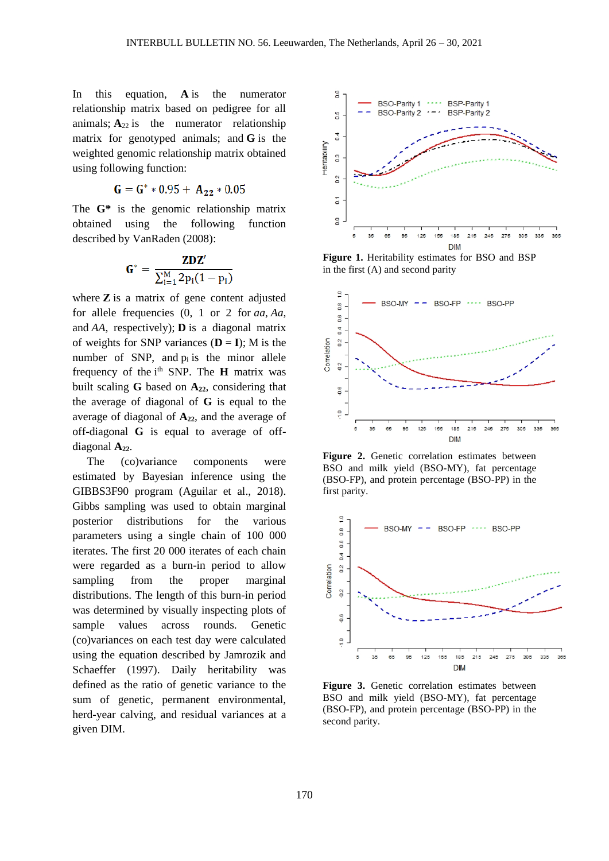In this equation, **A** is the numerator relationship matrix based on pedigree for all animals;  $A_{22}$  is the numerator relationship matrix for genotyped animals; and **G** is the weighted genomic relationship matrix obtained using following function:

$$
G = G^* * 0.95 + A_{22} * 0.05
$$

The **G\*** is the genomic relationship matrix obtained using the following function described by VanRaden (2008):

$$
\mathbf{G}^* = \frac{\mathbf{Z}\mathbf{D}\mathbf{Z}'}{\sum_{i=1}^M 2p_i(1-p_i)}
$$

where **Z** is a matrix of gene content adjusted for allele frequencies (0, 1 or 2 for *aa*, *Aa*, and *AA*, respectively); **D** is a diagonal matrix of weights for SNP variances ( $\mathbf{D} = \mathbf{I}$ ); M is the number of SNP, and  $p_i$  is the minor allele frequency of the i<sup>th</sup> SNP. The **H** matrix was built scaling **G** based on **A22**, considering that the average of diagonal of **G** is equal to the average of diagonal of **A22**, and the average of off-diagonal **G** is equal to average of offdiagonal **A22**.

The (co)variance components were estimated by Bayesian inference using the GIBBS3F90 program (Aguilar et al., 2018). Gibbs sampling was used to obtain marginal posterior distributions for the various parameters using a single chain of 100 000 iterates. The first 20 000 iterates of each chain were regarded as a burn-in period to allow sampling from the proper marginal distributions. The length of this burn-in period was determined by visually inspecting plots of sample values across rounds. Genetic (co)variances on each test day were calculated using the equation described by Jamrozik and Schaeffer (1997). Daily heritability was defined as the ratio of genetic variance to the sum of genetic, permanent environmental, herd-year calving, and residual variances at a given DIM.



**Figure 1.** Heritability estimates for BSO and BSP in the first (A) and second parity



**Figure 2.** Genetic correlation estimates between BSO and milk yield (BSO-MY), fat percentage (BSO-FP), and protein percentage (BSO-PP) in the first parity.



**Figure 3.** Genetic correlation estimates between BSO and milk yield (BSO-MY), fat percentage (BSO-FP), and protein percentage (BSO-PP) in the second parity.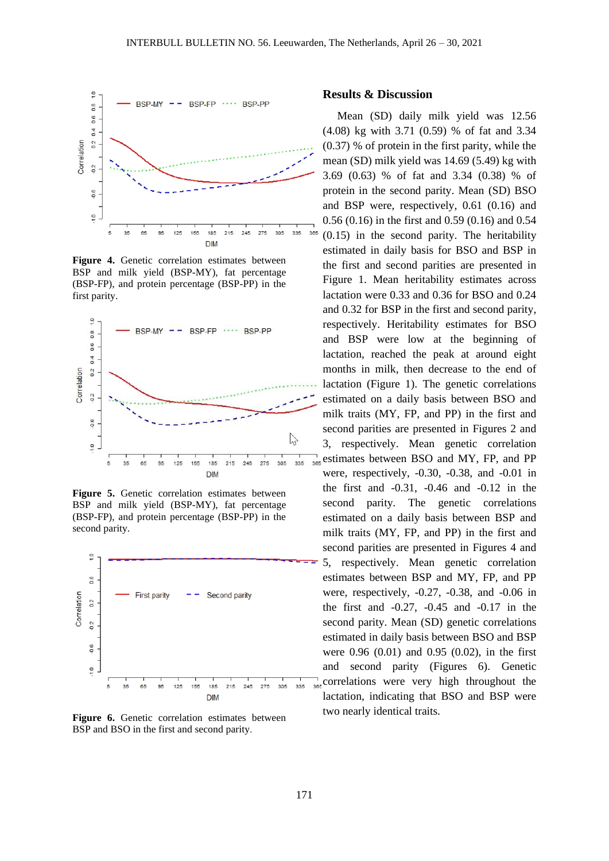

**Figure 4.** Genetic correlation estimates between BSP and milk yield (BSP-MY), fat percentage (BSP-FP), and protein percentage (BSP-PP) in the first parity.



**Figure 5.** Genetic correlation estimates between BSP and milk yield (BSP-MY), fat percentage (BSP-FP), and protein percentage (BSP-PP) in the second parity.



**Figure 6.** Genetic correlation estimates between BSP and BSO in the first and second parity.

#### **Results & Discussion**

Mean (SD) daily milk yield was 12.56 (4.08) kg with 3.71 (0.59) % of fat and 3.34 (0.37) % of protein in the first parity, while the mean (SD) milk yield was 14.69 (5.49) kg with 3.69 (0.63) % of fat and 3.34 (0.38) % of protein in the second parity. Mean (SD) BSO and BSP were, respectively, 0.61 (0.16) and 0.56 (0.16) in the first and 0.59 (0.16) and 0.54 (0.15) in the second parity. The heritability estimated in daily basis for BSO and BSP in the first and second parities are presented in Figure 1. Mean heritability estimates across lactation were 0.33 and 0.36 for BSO and 0.24 and 0.32 for BSP in the first and second parity, respectively. Heritability estimates for BSO and BSP were low at the beginning of lactation, reached the peak at around eight months in milk, then decrease to the end of lactation (Figure 1). The genetic correlations estimated on a daily basis between BSO and milk traits (MY, FP, and PP) in the first and second parities are presented in Figures 2 and 3, respectively. Mean genetic correlation estimates between BSO and MY, FP, and PP were, respectively, -0.30, -0.38, and -0.01 in the first and -0.31, -0.46 and -0.12 in the second parity. The genetic correlations estimated on a daily basis between BSP and milk traits (MY, FP, and PP) in the first and second parities are presented in Figures 4 and 5, respectively. Mean genetic correlation estimates between BSP and MY, FP, and PP were, respectively, -0.27, -0.38, and -0.06 in the first and -0.27, -0.45 and -0.17 in the second parity. Mean (SD) genetic correlations estimated in daily basis between BSO and BSP were 0.96 (0.01) and 0.95 (0.02), in the first and second parity (Figures 6). Genetic correlations were very high throughout the lactation, indicating that BSO and BSP were two nearly identical traits.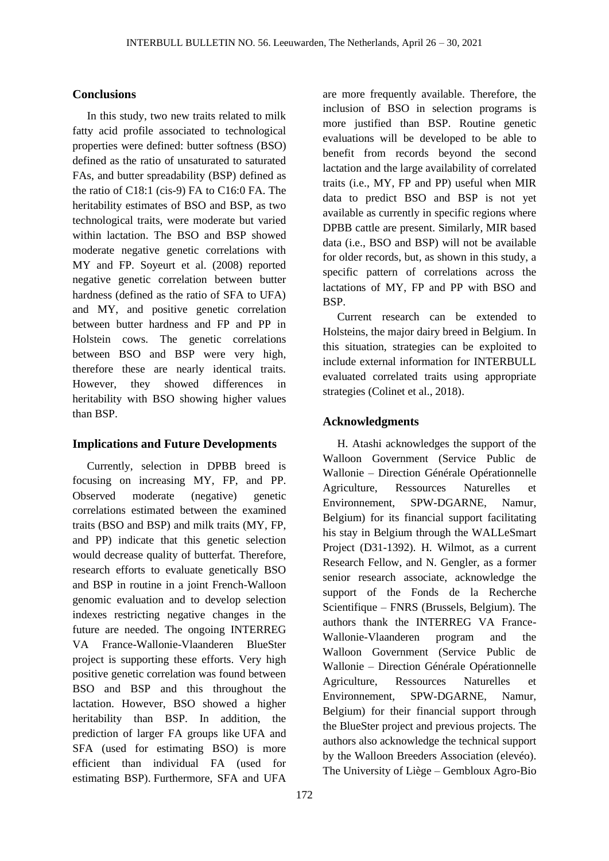## **Conclusions**

In this study, two new traits related to milk fatty acid profile associated to technological properties were defined: butter softness (BSO) defined as the ratio of unsaturated to saturated FAs, and butter spreadability (BSP) defined as the ratio of C18:1 (cis-9) FA to C16:0 FA. The heritability estimates of BSO and BSP, as two technological traits, were moderate but varied within lactation. The BSO and BSP showed moderate negative genetic correlations with MY and FP. Soyeurt et al. (2008) reported negative genetic correlation between butter hardness (defined as the ratio of SFA to UFA) and MY, and positive genetic correlation between butter hardness and FP and PP in Holstein cows. The genetic correlations between BSO and BSP were very high, therefore these are nearly identical traits. However, they showed differences in heritability with BSO showing higher values than BSP.

## **Implications and Future Developments**

Currently, selection in DPBB breed is focusing on increasing MY, FP, and PP. Observed moderate (negative) genetic correlations estimated between the examined traits (BSO and BSP) and milk traits (MY, FP, and PP) indicate that this genetic selection would decrease quality of butterfat. Therefore, research efforts to evaluate genetically BSO and BSP in routine in a joint French-Walloon genomic evaluation and to develop selection indexes restricting negative changes in the future are needed. The ongoing INTERREG VA France-Wallonie-Vlaanderen BlueSter project is supporting these efforts. Very high positive genetic correlation was found between BSO and BSP and this throughout the lactation. However, BSO showed a higher heritability than BSP. In addition, the prediction of larger FA groups like UFA and SFA (used for estimating BSO) is more efficient than individual FA (used for estimating BSP). Furthermore, SFA and UFA

are more frequently available. Therefore, the inclusion of BSO in selection programs is more justified than BSP. Routine genetic evaluations will be developed to be able to benefit from records beyond the second lactation and the large availability of correlated traits (i.e., MY, FP and PP) useful when MIR data to predict BSO and BSP is not yet available as currently in specific regions where DPBB cattle are present. Similarly, MIR based data (i.e., BSO and BSP) will not be available for older records, but, as shown in this study, a specific pattern of correlations across the lactations of MY, FP and PP with BSO and BSP.

Current research can be extended to Holsteins, the major dairy breed in Belgium. In this situation, strategies can be exploited to include external information for INTERBULL evaluated correlated traits using appropriate strategies (Colinet et al., 2018).

## **Acknowledgments**

H. Atashi acknowledges the support of the Walloon Government (Service Public de Wallonie – Direction Générale Opérationnelle Agriculture, Ressources Naturelles et Environnement, SPW-DGARNE, Namur, Belgium) for its financial support facilitating his stay in Belgium through the WALLeSmart Project (D31-1392). H. Wilmot, as a current Research Fellow, and N. Gengler, as a former senior research associate, acknowledge the support of the Fonds de la Recherche Scientifique – FNRS (Brussels, Belgium). The authors thank the INTERREG VA France-Wallonie-Vlaanderen program and the Walloon Government (Service Public de Wallonie – Direction Générale Opérationnelle Agriculture, Ressources Naturelles et Environnement, SPW-DGARNE, Namur, Belgium) for their financial support through the BlueSter project and previous projects. The authors also acknowledge the technical support by the Walloon Breeders Association (elevéo). The University of Liège – Gembloux Agro-Bio